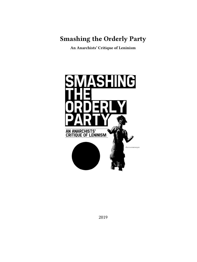**Smashing the Orderly Party**

**An Anarchists' Critique of Leninism**



2019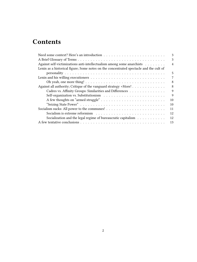# **Contents**

|                                                                                        | 3              |
|----------------------------------------------------------------------------------------|----------------|
|                                                                                        | 3              |
| Against self-victimizations anti-intellectualism among some anarchists                 | $\overline{4}$ |
| Lenin as a historical figure; Some notes on the concentrated spectacle and the cult of |                |
|                                                                                        | 5              |
|                                                                                        | 7              |
|                                                                                        | 8              |
| Against all authority; Critique of the vanguard strategy +More!                        | 8              |
| Cadres vs. Affinity Groups: Similarities and Differences                               | 9              |
|                                                                                        | $\mathbf Q$    |
|                                                                                        | 10             |
|                                                                                        | 10             |
|                                                                                        | 11             |
|                                                                                        | 12             |
| Socialization and the legal regime of bureaucratic capitalism                          | 12             |
|                                                                                        | 13             |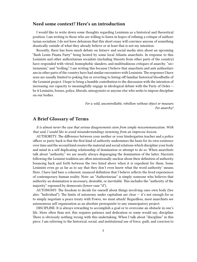# <span id="page-2-0"></span>**Need some context? Here's an introduction**

I would like to write down some thoughts regarding Leninism as a historical and theoretical position. I am writing to those who are willing to listen in hopes of refining a critique of authoritarian socialism. I do not have delusions that this short essay will convince anyone of something drastically outside of what they already believe or at least that is not my intention.

Recently, there has been much debate on listserv and social media sites about an upcoming "Bash Lenin Pinata Party" being hosted by some local Atlanta anarchists. In response to this. Leninists and other authoritarian socialists (including Maoists from other parts of the country) have responded with vitriol, homophobic slanders, and multitudinous critiques of anarchy. "sectarianism," and "trolling." I am writing this because I believe that anarchists and anti authoritarians in other parts of the country have had similar encounters with Leninists. The responses I have seen are usually limited to poking fun or reverting to listing-off familiar historical bloodbaths of the Leninist project. I hope to bring a humble contribution to the discussion with the intention of increasing our capacity to meaningfully engage in ideological debate with the Party of Order be it Leninists, bosses, police, liberals, misogynists or anyone else who seeks to impose discipline on our bodies.

> *For a wild, uncontrollable, rebellion without object or measure. For anarchy!*

# <span id="page-2-1"></span>**A Brief Glossary of Terms**

*It is almost never the case that serious disagreements stem from simple miscommunication. With that said, I would like to avoid misunderstandings stemming from an imprecise lexicon.*

AUTHORITY: The difference between your mother or your kindergarten teacher and a police officer or party hack is that the first kind of authority undermines the basis for its own existence over time and the second kind creates the material and social relations which discipline your body and mind in a self duplicating relationship of domination or attempt to do so. When anarchists talk about "authority." we are nearly always disparaging the domination of the latter. Marxists following the Leninist tradition are often intentionally unclear about their definition of authority. bouncing back and forth between the two listed above when it is expedient for them. Some Leninists even go as far as to say that they don't even know what the word authority' means. Here. I have laid bare a coherent, nuanced definition that I believe reflects the lived experiences of contemporary human reality. Note: an "Authoritarian" is simply someone who believes that authority-as-domination is necessary, desirable, or inevitable. This includes the "authority of the majority" espoused by democrats (lower-case "d").

AUTONOMY: The freedom to decide for oneself about things involving ones own body (See also: "Individual"). The limits of autonomy under capitalism are clear  $-$  it's not enough for us to simply negotiate a peace treaty with Power, we must attack! Regardless, most anarchists see autonomous self organization as an absolute prerequisite to any emancipatory project.

DISCIPLINE: It is always rewarding to accomplish a goal or to overcome an obstacle in one's life. More often than not, this requires patience and dedication or some would say, discipline. There is obviously nothing wrong with this undertaking. When I talk about "discipline" in this piece. I am referring to the historical, social, and institutional use of force, guilt, and coercion to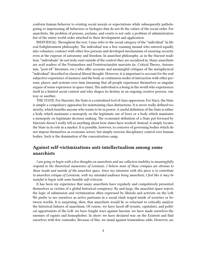conform human behavior to existing social morals or expectations while subsequently pathologizing or imprisoning all behaviors or biologies that do not fit the values of the social order. For anarchists, the problem of prisons, asylums. and courts is not only a problem of administration but of the entire world order attached to their development and application.

INDIVIDUAL: Throughout the text. I may refer to the social category of the "individual." In liberal Enlightenment philosophy. The individual was a free roaming monad who entered equally into voluntary contract with other free persons and developed mechanisms of ensuring security. even at the expense of autonomy and freedom. In anarchist philosophy. as in the Marxist tradition, "individuals" do not truly exist outside of the context they are socialized in. Many anarchists are avid readers of the Postmodern and Poststructuralist marxists (ie. Critical Theory, Autonomia, "post-68" literature, etc.) who offer accurate and meaningful critiques of the metaphysical "individual" described in classical liberal thought. However, it is important to account for the real subjective experience of memory and the body as continuous nodes of interaction with other persons, places, and systems over time (meaning that all people experience themselves as singular organs of sense experience in space-time). The individual is a being in the world who experiences itself in a limited social context and who shapes its destiny in an ongoing creative process, one way or another.

THE STATE: For Marxists, the State is a centralized tool of class oppression. For Marx, the State is simply a compulsory apparatus for maintaining class distinctions. It is never really defined too strictly, which benefits anyone who wants to be in power. A useful definition of the State is either a body which maintains a monopoly on the legitimate use of force or a body which maintains a monopoly on legitimate decision making. The economist definition of a State put forward by Marxists doesn't really tell us anything about how states have worked. Instead, it simply locates the State in its role in a market. It is possible, however, to conceive of governing bodies which do not impose themselves as economic actors, but simply exercise disciplinary control over human bodies. Such is the domination of the concentration camp.

# <span id="page-3-0"></span>**Against self-victimizations anti-intellectualism among some anarchists**

*I am going to begin with a few thoughts on anarchists and our collective inability to meaningfully respond to the theoretical maneuvers of Leninists. I believe most of these critiques are obvious to those inside and outside of the anarchist space. Since my intention with this piece is to contribute to anarchist critique of Leninism, with my intended audience being anarchists, I feel like it may be tasteful to begin with some humble self-criticism.*

It has been my experience that many anarchists have regularly and compulsively presented themselves as victims of a global historical conspiracy. By and large, the anarchist space rejects the logic of submission and victimization often expressed by liberals and activists on the Left. We prefer to see ourselves as active partisans in a social clash waged inside of societies or between worlds. It is surprising, then, that anarchists would be so reluctant to critically analyze the historical failures of anarchism. Of course, we have faced off tyrants, capitalists, and political opportunists of the Left: we have fought wars against fascism: we have made ourselves the enemies of rapists and homophobes. In short: we have declared war on the Existent and find ourselves with few comrades. Because of this, we stand against tremendous odds. However, an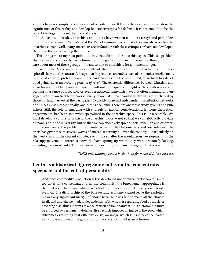archists have not simply failed because of outside forces. If this is the case, we must analyze the significance of this reality and develop holistic strategies for defense. It is not enough to be the purest ideology in the marketplace of ideas.

In the last two decades, anarchists and others have written countless essays and pamphlets critiquing the Spanish Civil War and the Paris Commune, as well as other mis-steps within the anarchist current. Still, many anarchists are unfamiliar with these critiques or have not developed their own theory regarding the events.

This brings me to my next point anti-intellectualism in the anarchist space. This is a problem that has influenced nearly every human grouping since the dawn of symbolic thought. I don't care about most of those groups  $-1$  want to talk to anarchists for a moment longer.

It seems that Marxism, as an essentially idealist philosophy from the Hegelian tradition (despite all claims to the contrary), has primarily produced an endless cast of academics, intellectuals, published authors, professors and other paid thinkers. On the other hand, anarchism has developed primarily as an evolving *practice of revolt*. The existential differences between Marxism and anarchism are not by chance and are not without consequence. In light of these differences, and perhaps in a sense of arrogance or even resentment, anarchists have not often meaningfully engaged with theoretical texts. Worse, many anarchists have avoided useful insight published by those pushing hardest at the barricades! Explicitly anarchist independent distribution networks of all sizes exist internationally, and that is beautiful. There are anarchist study groups and publishers. Still, the role of engaging with strategic or tactical considerations, let alone theoretical engagements, has been somewhat specialized in the anarchist space. This is unacceptable. We must develop a culture of praxis in the anarchist space  $-$  not so that we can abstractly bloviate on panels or in the university, but so that we can effectively spread social rebellion and disorder!

In recent years, the problem of anti-intellectualism has become less and less relevant. The crisis has given rise to several waves of anarchist activity all over the country — particularly on the west coast. In the current climate, even more so after the spontaneous developments of the #Occupy movement, anarchist networks have sprung up where they were previously lacking, including here in Atlanta. This is a perfect opportunity for many to begin with a proper footing

*TL;DR quit whining, read a book, think for yourself & let's kick ass.*

# <span id="page-4-0"></span>**Lenin as a historical figure; Some notes on the concentrated spectacle and the cult of personality**

And since commodity production is less developed under bureaucratic capitalism, it too takes on a concentrated form: the commodity the bureaucracy appropriates is the total social labor, and what it sells back to the society is that society's wholesale survival. The dictatorship of the bureaucratic economy cannot leave the exploited masses any significant margin of choice because it has had to make all the choices itself, and any choice made independently of it, whether regarding food or music or anything else, thus amounts to a declaration of war against it. This dictatorship must be enforced by permanent violence. Its spectacle imposes an image of the good which subsumes everything that officially exists, an image which is usually concentrated in a single individual, the guarantor of the system's totalitarian cohesion.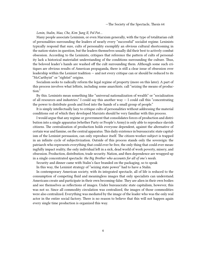—The Society of the Spectacle, Thesis 64

*Lenin, Stalin, Mao, Che, Kim Jung Il, Pol Pot…*

Many people associate Leninism, or even Marxism generally, with the type of totalitarian cult of personalities surrounding the leaders of nearly every "successful" socialist regime. Leninists typically respond that sure, cults of personality exemplify an obvious cultural shortcoming in the nation-states in question, but the leaders themselves usually did their best to actively combat obsession. According to the Leninists, critiques that reference the pattern of cults of personality lack a historical materialist understanding of the conditions surrounding the culture. Thus, the beloved leader's hands are washed off the cult surrounding them. Although some such critiques are obvious results of American propaganda, there is still a clear issue of obsession over leadership within the Leninist tradition  $-$  and not every critique can or should be reduced to its "McCarthyist" or "rightist" origins.

Socialism seeks to radically reform the legal regime of property (more on this later). A part of this process involves what leftists, including some anarchists. call "seizing the means of production."

By this. Leninists mean something like "universal nationalization of wealth" or "socialization of all resources and industries." I could say this another way  $-$  I could call this "concentrating the power to distribute goods and food into the hands of a small group of people."

It is simply intellectually lazy to critique cults of personalities without addressing the material conditions out of which they developed Marxists should be very familiar with this process.

I would argue that any regime or government that consolidates forces of production and distribution into a single apparatus (whether Party or People's Army) is only able to reproduce slavish citizens. The centralization of production holds everyone dependent, against the alternative of certain war and famine, on the central apparatus.This daily existence in bureaucratic state capitalism of the Leninist persuasion, can only reproduce itself. The citizen-worker-subject is trapped in an infinite cycle of subjectivization. Outside of this process stands only the sovereign: the patriarch who represents everything that could ever be free, the only thing that could ever meaningfully impact reality, the only individual left in a sick, dead world of work poverty, misery, and obsession. Production, distribution, trade security. Nation, and then dependence are wrapped up in a single concentrated spectacle: *the Big Brother who accounts for all of one's needs*.

Security and dinner came with Stalin's face branded on the packaging, so to speak

In this way, the Leninist strategy of "seizing state power" had to have a Stalin.

In contemporary American society, with its integrated spectacle, all of life is reduced to the consumption of competing fluid and meaningless images that only specialists can understand. Americans create and participate in their own becoming-false. They are alien in their own bodies and see themselves as reflections of images. Under bureaucratic state capitalism, however, this was not so. Since all commodity circulation was centralized, the images of those commodities were also centralized. Everything was mediated by the image of the leader who was the only real actor in the entire social factory. There is no reason to believe that this will not happen again every single time production is organized this way.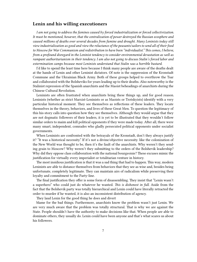### <span id="page-6-0"></span>**Lenin and his willing executioners**

*I am not going to address the famines caused by forced industrialization or forced collectivization. It must be mentioned, however, that the centralization of power destroyed the Russian ecosphere and caused millions of deaths over several decades from famine and drought. Many Leninists today still view industrialization as good and view the reluctance of the peasants/sailors to send all of their food to Moscow for War Communism and redistribution to have been "individualist." This comes, I believe, from a profound disregard in the Leninist tendency to consider environmental devastation as well as rampant authoritarianism in their tendency. I am also not going to discuss Stalin's forced labor and extermination camps because most Leninists understand that Stalin was a horrible bastard.*

I'd like to spend the least time here because I think many people are aware of the deaths dealt at the hands of Lenin and other Leninist dictators. Of note is the suppression of the Kronstadt Commune and the Ukrainian Black Army. Both of these groups helped to overthrow the Tsar and collaborated with the Bolsheviks for years leading up to their deaths. Also noteworthy is the Stalinist repression of the Spanish anarchists and the Maoist beheadings of anarchists during the Chinese Cultural Revolution.

Leninists are often frustrated when anarchists bring these things up, and for good reason. Leninists (whether as strict Marxist-Leninists or as Maoists or Trotskyists) identify with a very particular historical moment. They see themselves as reflections of these leaders. They locate themselves in the theory, behaviors, and lives of these Great Men. To question the legitimacy of this his-story calls into question how they see themselves. Although they would argue that they are not dogmatic followers of their leaders, it is yet to be illustrated that they wouldn't follow similar orders to maim and kill political opponents if they were made today. After all, there were many smart, independent, comrades who gladly persecuted political opponents under socialist governments.

When Leninists are confronted with the betrayals of the Kronstadt, don't they always justify it? "It was a historical necessity." If it's not a divine/objective necessity. like the colonization of the New World was thought to be, then it's the fault of the anarchists. Why weren't they sending grain to Moscow? Why weren't they submitting to the orders of the Bolshevik leadership? Why did they oppose class collaboration with the national bourgeoisie? These excuses mimic the justification for virtually every imperialist or totalitarian venture in history.

The most insidious justification is that it was a sad thing that had to happen. This way, modern Leninists are able to distance themselves from behaviors that they see as wise and, besides being unfortunate, completely legitimate. They can maintain airs of radicalism while preserving their loyalty and commitment to the Party-line.

The final justification they offer is some form of disassembling. They insist that "Lenin wasn't a superhero" who could just do whatever he wanted. *This is dishonest in full*. Aside from the fact that the Bolshevik party was totally hierarchical and Lenin could have literally retracted the order to murder if he wanted, it is also an inconsistent distribution of agency.

They laud Lenin for the good thing he does and divert

blame for the bad things. Furthermore, anarchists know the problem wasn't just Lenin. We are very much aware that the problem was totally structural. That is why we are against the State. People shouldn't have the authority to make decisions like that. When people are able to dominate others, they usually do. Lenin could have been anyone and that's what scares us about his followers.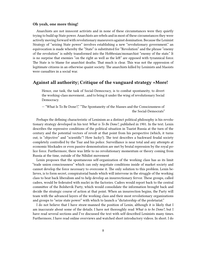#### <span id="page-7-0"></span>**Oh yeah, one more thing!**

Anarchists are not innocent activists and in none of these circumstances were they quietly trying to build up State power. Anarchists are rebels and in most of these circumstances they were actively moving forward with revolutionary maneuvers against domination. Because the Leninist Strategy of "seizing State power" involves establishing a new "revolutionary government." an equivocation is made whereby the "State" is substituted for "Revolution" and the phrase "enemy of the revolution" is subtly transformed into the Hobbesian/monarchist "enemy of the state." It is no surprise that enemies "on the right as well as the left" are opposed with tyrannical force. The State is to blame for anarchist deaths. That much is clear. This was not the oppression of legitimate citizens in an otherwise quaint society. The anarchists killed by Leninists and Maoists were casualties in a social war.

# <span id="page-7-1"></span>**Against all authority; Critique of the vanguard strategy +More!**

Hence, our task, the task of Social-Democracy, is to combat spontaneity, to divert the working-class movement…and to bring it under the wing of revolutionary Social Democracy.

— "What Is To Be Done?," "The Spontaneity of the Masses and the Consciousness of the Social-Democrats"

Perhaps the defining characteristic of Leninism as a distinct political philosophy is his revolutionary strategy developed in his text *What is To Be Done?*, published in 1901. In the text. Lenin describes the repressive conditions of the political situation in Tsarist Russia at the turn of the century and the potential vectors of revolt at that point from his perspective (which, it turns out, is "objective" and "scientific"! How lucky!). The text describes a backward feudal society completely controlled by the Tsar and his police. Surveillance is near total and any attempts at economic blockades or even passive demonstration are met by brutal repression by the royal police force. Furthermore, there was little to no revolutionary momentum or theory coming from Russia at the time, outside of the Nihilist movement

Lenin proposes that the spontaneous self-organization of the working class has as its limit "trade union consciousness" which can only negotiate conditions inside of market society and cannot develop the force necessary to overcome it. The only solution to this problem. Lenin believes, is to form secret, conspiratorial bands which will intervene in the struggle of the working class to beat back liberalism and to help develop an insurrectionary fervor. These groups, called cadres, would be federated with nuclei in the factories. Cadres would report back to the central committee of the Bolshevik Party, which would consolidate the information brought back and decide the strategic course of action at that point. When an insurrection begins, the Party will team with the advanced layers of the working class and their most revolutionary organizations and groups to "seize state power" with which to launch a "dictatorship of the proletariat."

I do not believe that I have straw-manned the position of Lenin, although it is likely that I am inaccurate about some of the details. I have not thoroughly read *What is to be Done?*, but I have read several sections and I've discussed the text with self-described Leninists many times. Furthermore, I have read online overviews and watched short introductory videos. In short. I do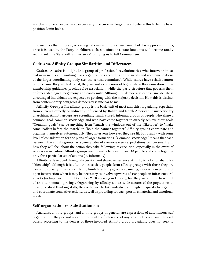not claim to be an expert — so excuse any inaccuracies. Regardless. I believe this to be the basic position Lenin holds.

Remember that the State, according to Lenin, is simply an instrument of class oppression. Thus, once it is used by the Party to obliterate class distinctions, state functions will become totally redundant. The State will 'wither away." bringing us to full Communism.

#### <span id="page-8-0"></span>**Cadres vs. Affinity Groups: Similarities and Differences**

**Cadres:** A cadre is a tight-knit group of professional revolutionaries who intervene in social movements and working class organizations according to the needs and recommendations of the larger coordinating body (i.e. the central committee). While cadres have relative autonomy because they are federated, they are not expressions of legitimate self-organization. Their membership guidelines preclude free association, while the party structure that governs them enforces ideological hegemony and conformity. Although in "democratic centralism" debate is encouraged individuals are expected to go along with the majority decision. How this is distinct from contemporary bourgeois democracy is unclear to me.

**Affinity Groups:** The affinity group is the basic unit of most anarchist organizing. especially from currents directly or indirectly influenced by Italian and North American insurrectionary anarchism. Affinity groups are essentially small, closed, informal groups of people who share a common goal, common knowledge and who have come together to directly achieve their goals. "Common goals" can be anything from "smash the windows out of the Niketown" to "make some leaflets before the march" to "hold the banner together." Affinity groups coordinate and organize themselves autonomously. They intervene however they see fit, but usually with some level of consideration for the plans of larger formations. "Common knowledge" means that each person in the affinity group has a general idea of everyone else's expectations, temperament, and how they will feel about the action they take following its execution, especially in the event of repression or failure. Affinity groups are normally between 3 and 10 people and come together only for a particular set of actions (ie. informally).

Affinity is developed through discussion and shared experience. Affinity is not short-hand for "friendship," although it is often the case that people form affinity groups with those they are closest to socially. There are certainly limits to affinity-group organizing, especially in periods of open insurrection when it may be necessary to involve upwards of 100 people in infrastructural attacks (as happened in the December 2008 uprising in Greece), but they are still the basic unit of an autonomous uprisings. Organizing by affinity allows wide sectors of the population to develop critical thinking skills, the confidence to take initiative, and higher capacity to organize and coordinate combative activity, as well as providing for each person's material and emotional needs.

#### <span id="page-8-1"></span>**Self-organization vs. Substitutionism**

Anarchist affinity groups, and affinity groups in general, are expressions of autonomous self organization. They do not seek to represent the "interests" of any group of people and they act purely according to the desires of those involved. Affinity group organizing does not seek to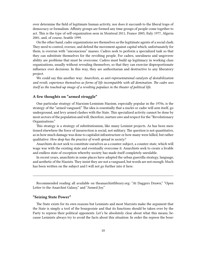over determine the field of legitimate human activity, nor does it succumb to the liberal traps of democracy or formalism. Affinity groups are formed any time groups of people come together to act. This is the type of self-organization seen in Montreal 2011, France 2005, Italy 1977, Algeria 2001, and, of course, Seattle 1999.

On the other hand, cadre organizations see themselves as the legitimate agents of a social clash. They need to control, oversee, and defend the movement against capital which, unfortunately for them, is overrun with "unconscious" masses. Cadres seek to perform a specialized task so that they can substitute themselves for the revolting people. For cadres, unruliness and ungovernability are problems that must be overcome. Cadres must build up legitimacy in working class organizations, usually without revealing themselves, so that they can exercise disproportionate influence over decisions. In this way, they are authoritarian and destructive to any liberatory project.

We could say this another way: *Anarchists, as anti-representational catalysts of destabilization and revolt, experience themselves as forms of life incompatible with all domination. The cadre sees itself as the touched-up image of a revolting populace in the theater of political life.*

### <span id="page-9-0"></span>**A few thoughts on "armed struggle"**

One particular strategy of Marxism-Leninism Maoism, especially popular in the 1970s, is the strategy of the "armed vanguard." The idea is essentially that a nuclei or cadre will arm itself, go underground, and levy armed clashes with the State. This specialized activity cannot be done by most sectors of the population and will, therefore, nurture awe and respect for the "Revolutionary Organizations."

This strategy is a strategy of substitutionism, like many Leninist projects. As has been mentioned elsewhere the force of insurrection is social, not military. The question is not quantitative, as in how much damage was done to capitalist infrastructure or how many were killed, but rather qualitative: *How deep has the practice of revolt spread in society?*

Anarchists do not seek to constitute ourselves as a counter-subject, a counter-state, which will wage war with the existing state and eventually overcome it. Anarchists seek to create a livable and endless state of exception whereby society has made itself completely unrulable.

In recent years, anarchists in some places have adopted the urban guerrilla strategy, language, and aesthetic of the Maoists. They insist they are not a vanguard, but words are not enough. Much has been written on the subject and I will not go further into it here.

Recommended reading all available on [theanarchistlibrary.org](http://theanarchistlibrary.org): "At Daggers Drawn," "Open Letter to the Anarchist Galaxy," and "Armed Joy."

#### <span id="page-9-1"></span>**"Seizing State Power"**

The State exists for its own reasons but Leninists and most Marxists make the argument that the State is simply a tool of the bourgeoisie and that its functions should be taken over by the Party to repress their political opponents. Let's be absolutely clear about what this means, because Leninists always try to avoid the facts about this situation: In order the repress the bour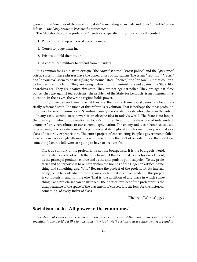geoisie or the "enemies of the revolution/state" — including anarchists and other "infantile" ultraleftists — *the Party wants to become the government*.

The "dictatorship of the proletariat" needs very specific things to exercise its control:

- 1. Police to round up perceived class enemies,
- 2. Courts to judge them in,
- 3. Prisons to hold them in, and
- 4. A centralized military to defend from outsiders.

It is common for Leninists to critique "the *capitalist* state," "*racist* police," and the "*privatized* prison system." These phrases have the appearances of radicalism. The terms "*capitalist*," "*racist*" and "*privatized*" seem to be *modifying* the nouns "state," "police," and "prison." But that couldn't be further from the truth. They are using distinct nouns. Leninists are not against the State, like anarchists are. They are against *this* state. They are not against police. They are against *these* police. They are against *these* prisons. The problem of the State, for Leninists, is an *administrative* question. In their eyes, the wrong regime holds power.

In this light we can see them for what they are: the most extreme social democrats for a drastically reformed state. The mode of this reform is revolution. That is perhaps the most profound difference between Leninists and Scandinavian-style social democrats who believe in the vote.

In any case, "seizing state power" is an obscene idea in today's world. The State is no longer the primary impetus of domination in today's Empire. To add to the directory of independent countries" only contributes to our current asphyxiation. The enemy today confronts us as a set of governing practices dispensed in a permanent state of global counter insurgency, not just as a class of dastardly expropriators. The entire project of constructing People's governments failed miserably in every single attempt. Even if it was simply the fault of outside forces, that reality is something Lenin's followers are going to have to account for.

The true contrary of the proletariat is not the bourgeoisie. It is the bourgeois world, imperialist society, of which the proletariat, let this be noted, is a notorious element, as the principal productive force and as the antagonistic political pole… To say proletariat and bourgeoisie is to remain within the bounds of the Hegelian artifice: something and something else. Why? Because the project of the proletariat, its internal being, is not to contradict the bourgeoisie, or to cut its feet from under it. This project is communism, and nothing else. That is, the abolition of any place in which something like a proletariat can be installed. The political project of the proletariat is the disappearance of the space of the placement of classes. It is the loss, for the historical something, of every index of class.

—"Theory of Worlds," pg. 7

#### <span id="page-10-0"></span>**Socialism sucks: All power to the communes!**

*A critique of Lenin can't be made in a vacuum Lenin is one of the most famous and respected socialists in the world. I'd like to take some time to shit-talk socialism as a political category and as*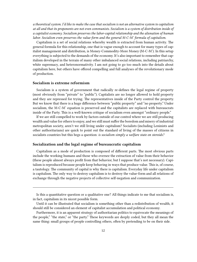*a theoretical system. I'd like to make the case that socialism is not an alternative system to capitalism at all and that its proponents are not even communists. Socialism is a system of distribution inside of a capitalist economy. Socialism preserves the labor-capital relationship and the alienation of human labor. Socialism even preserves the value-form and the general M-C-M' formula of capitalism.*

Capitalism is a set of social relations whereby wealth is extracted from human activity. The general formula for this relationship, one that is vague enough to account for many types of capitalist management and distribution, is Money-Commodity-More Money (M-C-M'). In this setup everything is subjected to the demands of the economy. It's also important to remember that capitalism developed in the terrain of many other imbalanced social relations, including patriarchy, white supremacy, and heteronormativity. I am not going to go too much into the details about capitalism here, but others have offered compelling and full analyses of the revolutionary mode of production.

#### <span id="page-11-0"></span>**Socialism is extreme reformism**

Socialism is a system of government that radically re-defines the legal regime of property (most obviously from "private" to "public"). Capitalists are no longer allowed to hold property and they are repressed for trying. The representatives inside of the Party control the property. But we know that there is a huge difference between "public property" and "no property." Under socialism, the M-C-M' equation is preserved and the capitalists are replaced with bureaucrats inside of the Party. This is a well-known critique of socialism even amongst "ordinary people."

If we are still compelled to work by factors outside of our control where we are still producing wealth and value for others to enjoy, and we still must suffer the boredom and misery of industrial metropolitan society, aren't we still living under capitalism? Socialists (including Leninists and other authoritarians) are quick to point out the standard of living of the masses of citizens in socialists countries but this begs a question: *is socialism simply a welfare state on steroids?*

#### <span id="page-11-1"></span>**Socialization and the legal regime of bureaucratic capitalism**

Capitalism as a mode of production is composed of different parts. The most obvious parts include the working humans and those who oversee the extraction of value from their behavior (these people almost always profit from that behavior, but I suppose that's not necessary). Capitalism is reproduced because people keep behaving in ways that produce value. This is, of course, a tautology. The community of capital is why there is capitalism. Everyday life under capitalism is capitalism. The only way to destroy capitalism is to destroy the value-form and all relations of exchange through the negative projects of collective self-negation and communization.

Is this a quantitative question or a qualitative one? All things indicate to me that socialism is, in fact, capitalism in its nicest possible form.

Until it can be illustrated that socialism is something other than a redistribution of wealth, it should still be considered an element of capitalist accumulation and political economy.

Furthermore, it is an apparent strategy of authoritarian politics to equivocate the meanings of the people," "the state," or "the party." These keywords are deeply coded, but they all mean the same thing: small groups of people controlling others, often by pretending to be on their side.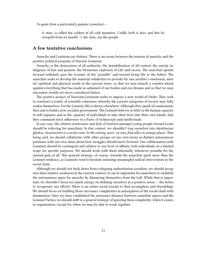*To quote from a particularly popular iconoclast*—

A state, is called the coldest of all cold monsters. Coldly lieth it also; and this lie creepeth from its mouth: "i, the state, am the people.

### <span id="page-12-0"></span>**A few tentative conclusions**

Anarchy and Leninism are distinct. There is an ocean between the tension of anarchy and the positive political program of Marxist-Leninism.

Anarchy is the destruction of all authority, the destabilization of all control, the unruly indulgence of lust and passion, the Dionysian explosion of Life and excess. The anarchist sprints forward infinitely past the tyranny of the "possible" and toward living life to the fullest. The anarchist seeks to develop the material solidarities to provide for one another's emotional, mental, spiritual and physical needs in the present tense, so that we may launch a counter-attack against everything that has made us ashamed of our bodies and our dreams and so that we may encounter worlds we never considered before.

The positive project of Marxism-Leninism seeks to impose a new world of Order. They seek to construct a reality of scientific coherence whereby the current categories of society may fully realize themselves. For the Leninist, life is always elsewhere. Although they speak of communism, they aim to build a new socialist government. The Leninist believes so little in the human capacity to self-organize and in the capacity of individuals to take their lives into their own hands, that they command strict adherence to a Party of technocrats and intellectuals.

In any case, the relative irrelevance and lack of traction amongst young people toward Lenin should be relieving for anarchists. In this context, we shouldn't trap ourselves into identitarian ghettos. *Insurrection is a social event. In the coming years, we may find allies in strange places.* That being said, we should collaborate with other groups on our own terms as distinct autonomous partisans with our own ideas about how struggles should move forward. Our collaboration with Leninists should be contingent and relative to our level of affinity with individuals on a limited scope for specific purposes. We should work with them informally whenever possible for the mutual gain of all. This general strategy, of course, rewards the anarchist spirit more than the Leninist tendency, as Leninists tend to hesitate initiating meaningful radical intervention in the social clash.

Although we should not back down from critiquing authoritarian socialists, we should recognize their relative weakness in the current context. It can be important for anarchists to establish the autonomous space for anarchy by distancing themselves from the Left. While that is important, we shouldn't focus too much energy on defining ourselves in a positive sense — the better to recuperate our efforts! There is an entire social terrain to find accomplices and friendships. We should focus on building those necessary complicities in anticipation of the social clash with domination. Once we have established the necessary distance between anarchist spaces and the Leninist Parties, we should shift to a general strategy of ignoring them completely. when it comes to organization, except for when we may be able to work together.